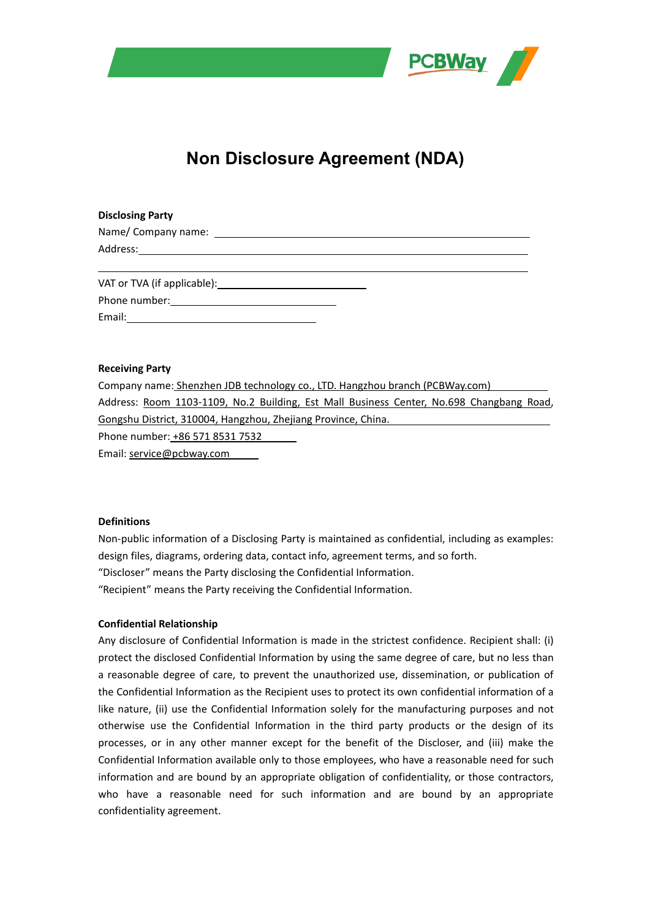

# **Non Disclosure Agreement (NDA)**

# **Disclosing Party**

| Name/ Company name: |  |  |
|---------------------|--|--|
| Address:            |  |  |
|                     |  |  |
|                     |  |  |

VAT or TVA (if applicable): Phone number: Email:

#### **Receiving Party**

| Company name: Shenzhen JDB technology co., LTD. Hangzhou branch (PCBWay.com)             |
|------------------------------------------------------------------------------------------|
| Address: Room 1103-1109, No.2 Building, Est Mall Business Center, No.698 Changbang Road, |
| Gongshu District, 310004, Hangzhou, Zhejiang Province, China.                            |
| Phone number: +86 571 8531 7532                                                          |
| Email: service@nchway.com                                                                |

Email: service@pcbway.com

# **Definitions**

Non-public information of a Disclosing Party is maintained as confidential, including as examples: design files, diagrams, ordering data, contact info, agreement terms, and so forth. "Discloser" means the Party disclosing the Confidential Information. "Recipient" means the Party receiving the Confidential Information.

#### **Confidential Relationship**

Any disclosure of Confidential Information is made in the strictest confidence. Recipient shall: (i) protect the disclosed Confidential Information by using the same degree of care, but no less than a reasonable degree of care, to prevent the unauthorized use, dissemination, or publication of the Confidential Information as the Recipient uses to protect its own confidential information of a like nature, (ii) use the Confidential Information solely for the manufacturing purposes and not otherwise use the Confidential Information in the third party products or the design of its processes, or in any other manner except for the benefit of the Discloser, and (iii) make the Confidential Information available only to those employees, who have a reasonable need for such information and are bound by an appropriate obligation of confidentiality, or those contractors, who have a reasonable need for such information and are bound by an appropriate confidentiality agreement.